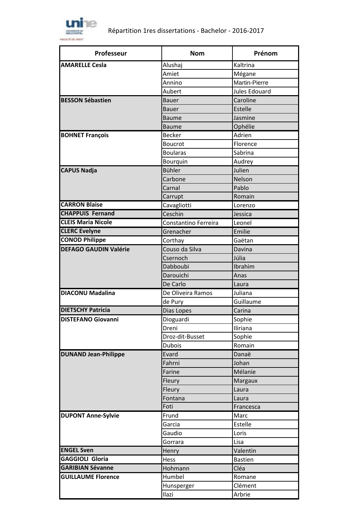

| Professeur                   | <b>Nom</b>           | Prénom         |
|------------------------------|----------------------|----------------|
| <b>AMARELLE Cesla</b>        | Alushaj              | Kaltrina       |
|                              | Amiet                | Mégane         |
|                              | Annino               | Martin-Pierre  |
|                              | Aubert               | Jules Edouard  |
| <b>BESSON Sébastien</b>      | <b>Bauer</b>         | Caroline       |
|                              | <b>Bauer</b>         | Estelle        |
|                              | <b>Baume</b>         | Jasmine        |
|                              | <b>Baume</b>         | Ophélie        |
| <b>BOHNET François</b>       | <b>Becker</b>        | Adrien         |
|                              | <b>Boucrot</b>       | Florence       |
|                              | <b>Boularas</b>      | Sabrina        |
|                              | Bourquin             | Audrey         |
| <b>CAPUS Nadja</b>           | <b>Bühler</b>        | Julien         |
|                              | Carbone              | Nelson         |
|                              | Carnal               | Pablo          |
|                              | Carrupt              | Romain         |
| <b>CARRON Blaise</b>         | Cavagliotti          | Lorenzo        |
| <b>CHAPPUIS Fernand</b>      | Ceschin              | Jessica        |
| <b>CLEIS Maria Nicole</b>    | Constantino Ferreira | Leonel         |
| <b>CLERC</b> Evelyne         | Grenacher            | Emilie         |
| <b>CONOD Philippe</b>        | Corthay              | Gaëtan         |
| <b>DEFAGO GAUDIN Valérie</b> | Couso da Silva       | Davina         |
|                              | Csernoch             | Júlia          |
|                              | Dabboubi             | Ibrahim        |
|                              | Darouichi            | Anas           |
|                              | De Carlo             | Laura          |
| <b>DIACONU Madalina</b>      | De Oliveira Ramos    | Juliana        |
|                              | de Pury              | Guillaume      |
| <b>DIETSCHY Patricia</b>     | Dias Lopes           | Carina         |
| <b>DISTEFANO Giovanni</b>    | Dioguardi            | Sophie         |
|                              | Dreni                | Iliriana       |
|                              | Droz-dit-Busset      | Sophie         |
|                              | <b>Dubois</b>        | Romain         |
| <b>DUNAND Jean-Philippe</b>  | Evard                | Danaë          |
|                              | Fahrni               | Johan          |
|                              | Farine               | Mélanie        |
|                              | Fleury               | Margaux        |
|                              | Fleury               | Laura          |
|                              | Fontana              | Laura          |
|                              | Foti                 | Francesca      |
| <b>DUPONT Anne-Sylvie</b>    | Frund                | Marc           |
|                              | Garcia               | Estelle        |
|                              | Gaudio               | Loris          |
|                              | Gorrara              | Lisa           |
| <b>ENGEL Sven</b>            | Henry                | Valentin       |
| <b>GAGGIOLI Gloria</b>       | Hess                 | <b>Bastien</b> |
| <b>GARIBIAN Sévanne</b>      | Hohmann              | Cléa           |
| <b>GUILLAUME Florence</b>    | Humbel               | Romane         |
|                              | Hunsperger           | Clément        |
|                              | Ilazi                | Arbrie         |